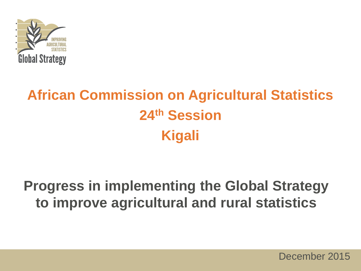

### **African Commission on Agricultural Statistics 24th Session Kigali**

#### **Progress in implementing the Global Strategy to improve agricultural and rural statistics**

December 2015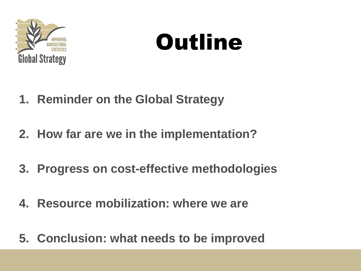

# **Outline**

- **1. Reminder on the Global Strategy**
- **2. How far are we in the implementation?**
- **3. Progress on cost-effective methodologies**
- **4. Resource mobilization: where we are**
- **5. Conclusion: what needs to be improved**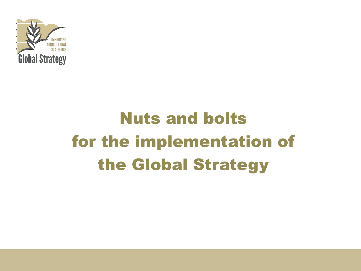

# Nuts and bolts for the implementation of the Global Strategy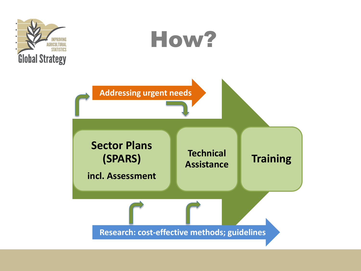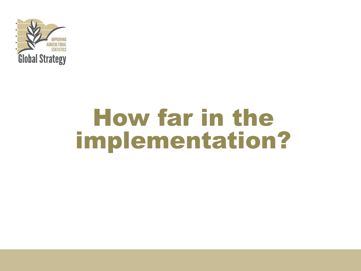

# How far in the implementation?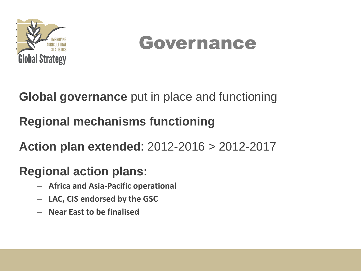

### Governance

**Global governance** put in place and functioning

**Regional mechanisms functioning**

**Action plan extended**: 2012-2016 > 2012-2017

#### **Regional action plans:**

- **Africa and Asia-Pacific operational**
- **LAC, CIS endorsed by the GSC**
- **Near East to be finalised**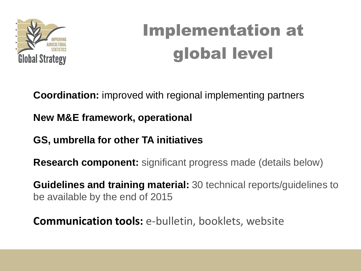

# Implementation at global level

**Coordination:** improved with regional implementing partners

**New M&E framework, operational**

**GS, umbrella for other TA initiatives**

**Research component:** significant progress made (details below)

**Guidelines and training material:** 30 technical reports/guidelines to be available by the end of 2015

**Communication tools:** e-bulletin, booklets, website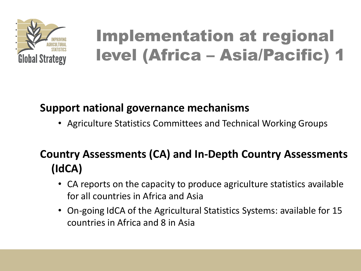

### Implementation at regional level (Africa – Asia/Pacific) 1

#### **Support national governance mechanisms**

• Agriculture Statistics Committees and Technical Working Groups

#### **Country Assessments (CA) and In-Depth Country Assessments (IdCA)**

- CA reports on the capacity to produce agriculture statistics available for all countries in Africa and Asia
- On-going IdCA of the Agricultural Statistics Systems: available for 15 countries in Africa and 8 in Asia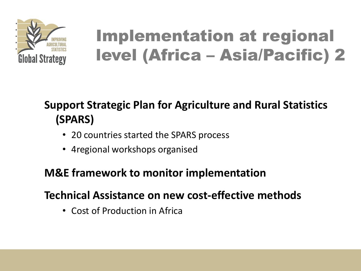

### Implementation at regional level (Africa – Asia/Pacific) 2

#### **Support Strategic Plan for Agriculture and Rural Statistics (SPARS)**

- 20 countries started the SPARS process
- 4regional workshops organised

#### **M&E framework to monitor implementation**

#### **Technical Assistance on new cost-effective methods**

• Cost of Production in Africa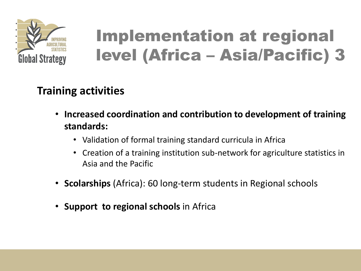

### Implementation at regional level (Africa – Asia/Pacific) 3

#### **Training activities**

- **Increased coordination and contribution to development of training standards:** 
	- Validation of formal training standard curricula in Africa
	- Creation of a training institution sub-network for agriculture statistics in Asia and the Pacific
- **Scolarships** (Africa): 60 long-term students in Regional schools
- **Support to regional schools** in Africa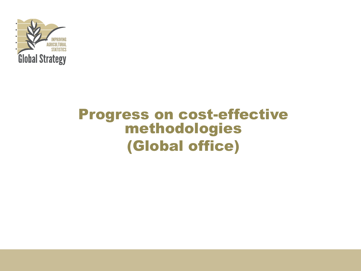

#### Progress on cost-effective methodologies (Global office)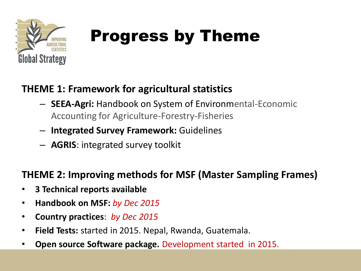

#### **THEME 1: Framework for agricultural statistics**

- **SEEA-Agri:** Handbook on System of Environmental-Economic Accounting for Agriculture-Forestry-Fisheries
- **Integrated Survey Framework:** Guidelines
- **AGRIS**: integrated survey toolkit

#### **THEME 2: Improving methods for MSF (Master Sampling Frames)**

- **3 Technical reports available**
- **Handbook on MSF:** *by Dec 2015*
- **Country practices**: *by Dec 2015*
- **Field Tests:** started in 2015. Nepal, Rwanda, Guatemala.
- **Open source Software package.** Development started in 2015.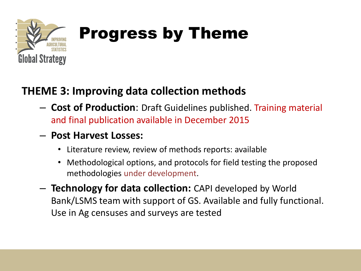

#### **THEME 3: Improving data collection methods**

- **Cost of Production**: Draft Guidelines published. Training material and final publication available in December 2015
- **Post Harvest Losses:**
	- Literature review, review of methods reports: available
	- Methodological options, and protocols for field testing the proposed methodologies under development.
- **Technology for data collection:** CAPI developed by World Bank/LSMS team with support of GS. Available and fully functional. Use in Ag censuses and surveys are tested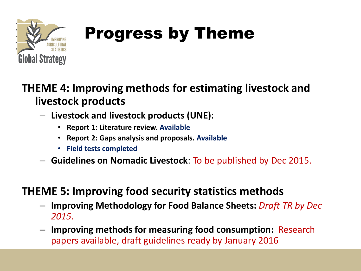

#### **THEME 4: Improving methods for estimating livestock and livestock products**

- **Livestock and livestock products (UNE):** 
	- **Report 1: Literature review. Available**
	- **Report 2: Gaps analysis and proposals. Available**
	- **Field tests completed**
- **Guidelines on Nomadic Livestock**: To be published by Dec 2015.

#### **THEME 5: Improving food security statistics methods**

- **Improving Methodology for Food Balance Sheets:** *Draft TR by Dec 2015.*
- **Improving methods for measuring food consumption:** Research papers available, draft guidelines ready by January 2016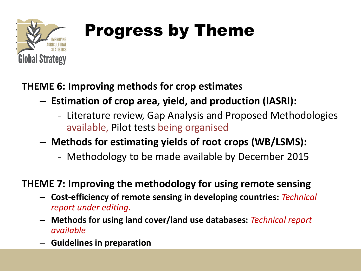

**THEME 6: Improving methods for crop estimates** 

- **Estimation of crop area, yield, and production (IASRI):**
	- Literature review, Gap Analysis and Proposed Methodologies available, Pilot tests being organised

#### – **Methods for estimating yields of root crops (WB/LSMS):**

- Methodology to be made available by December 2015

#### **THEME 7: Improving the methodology for using remote sensing**

- **Cost-efficiency of remote sensing in developing countries:** *Technical report under editing.*
- **Methods for using land cover/land use databases:** *Technical report available*
- **Guidelines in preparation**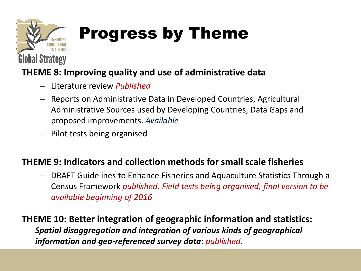

#### **THEME 8: Improving quality and use of administrative data**

- Literature review *Published*
- Reports on Administrative Data in Developed Countries, Agricultural Administrative Sources used by Developing Countries, Data Gaps and proposed improvements. *Available*
- Pilot tests being organised

#### **THEME 9: Indicators and collection methods for small scale fisheries**

– DRAFT Guidelines to Enhance Fisheries and Aquaculture Statistics Through a Census Framework *published. Field tests being organised, final version to be available beginning of 2016*

**THEME 10: Better integration of geographic information and statistics:**  *Spatial disaggregation and integration of various kinds of geographical information and geo-referenced survey data*: *published*.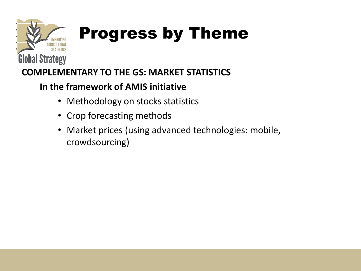

#### **COMPLEMENTARY TO THE GS: MARKET STATISTICS**

#### **In the framework of AMIS initiative**

- Methodology on stocks statistics
- Crop forecasting methods
- Market prices (using advanced technologies: mobile, crowdsourcing)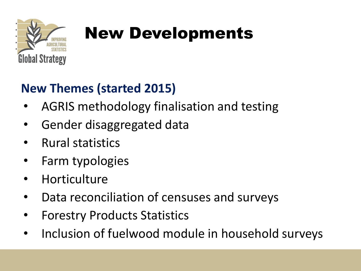

# New Developments

#### **New Themes (started 2015)**

- AGRIS methodology finalisation and testing
- Gender disaggregated data
- Rural statistics
- Farm typologies
- **Horticulture**
- Data reconciliation of censuses and surveys
- Forestry Products Statistics
- Inclusion of fuelwood module in household surveys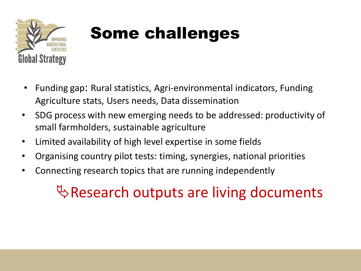

# Some challenges

- Funding gap: Rural statistics, Agri-environmental indicators, Funding Agriculture stats, Users needs, Data dissemination
- SDG process with new emerging needs to be addressed: productivity of small farmholders, sustainable agriculture
- Limited availability of high level expertise in some fields
- Organising country pilot tests: timing, synergies, national priorities
- Connecting research topics that are running independently

### $\mathbb Q$  Research outputs are living documents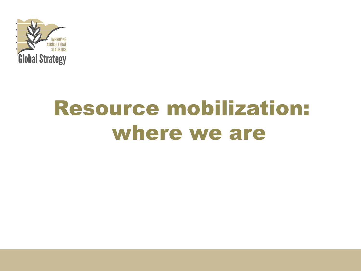

# Resource mobilization: where we are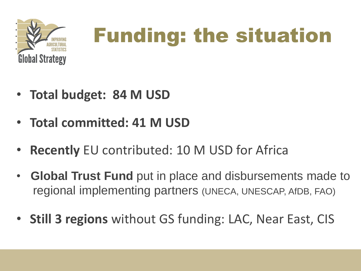

# Funding: the situation

- **Total budget: 84 M USD**
- **Total committed: 41 M USD**
- **Recently** EU contributed: 10 M USD for Africa
- • **Global Trust Fund** put in place and disbursements made to regional implementing partners (UNECA, UNESCAP, AfDB, FAO)
- **Still 3 regions** without GS funding: LAC, Near East, CIS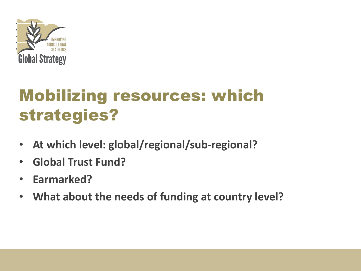

### Mobilizing resources: which strategies?

- **At which level: global/regional/sub-regional?**
- **Global Trust Fund?**
- **Earmarked?**
- **What about the needs of funding at country level?**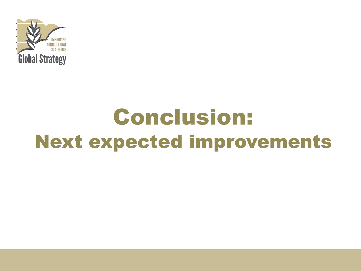

# Conclusion: Next expected improvements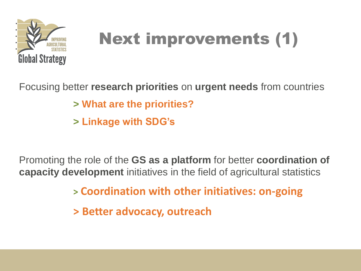

# Next improvements (1)

Focusing better **research priorities** on **urgent needs** from countries **> What are the priorities? > Linkage with SDG's**

Promoting the role of the **GS as a platform** for better **coordination of capacity development** initiatives in the field of agricultural statistics

**> Coordination with other initiatives: on-going**

**> Better advocacy, outreach**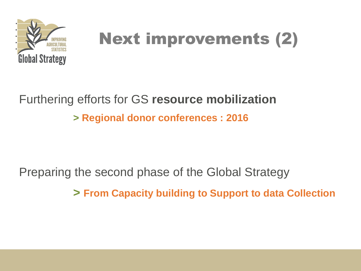

# Next improvements (2)

#### Furthering efforts for GS **resource mobilization > Regional donor conferences : 2016**

Preparing the second phase of the Global Strategy

**> From Capacity building to Support to data Collection**